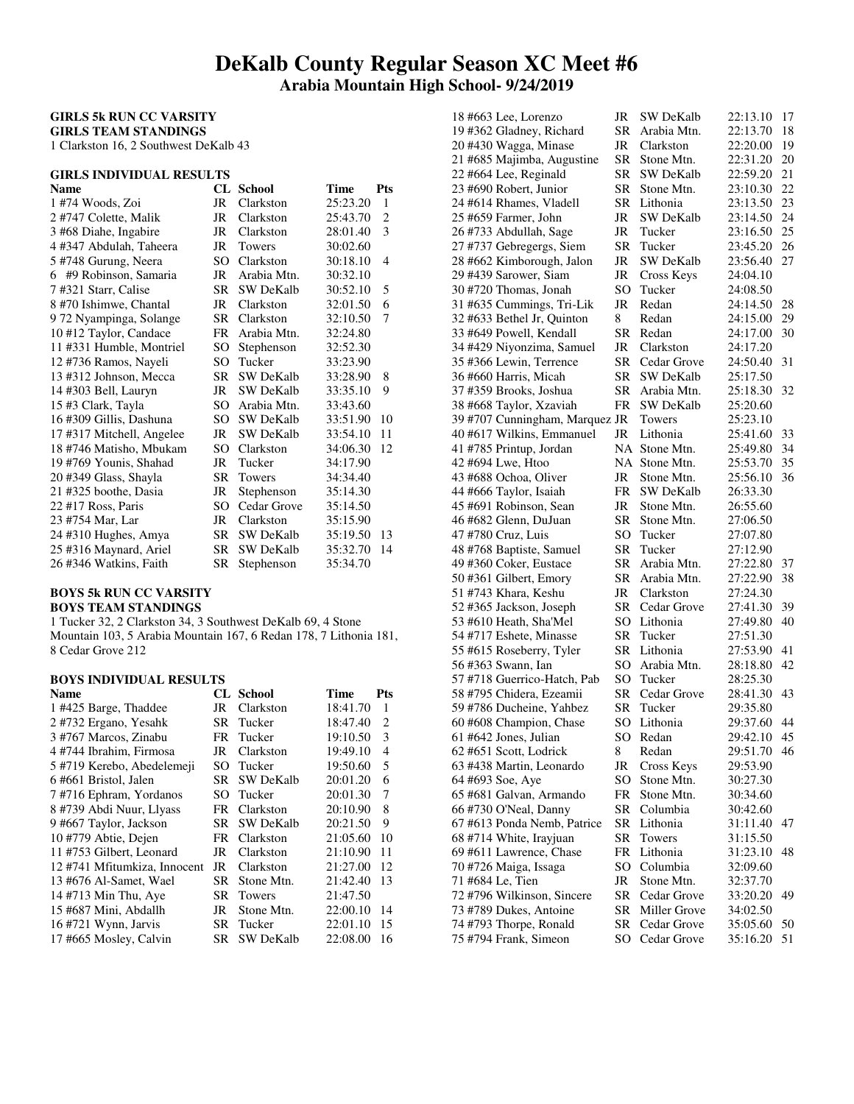# **DeKalb County Regular Season XC Meet #6 Arabia Mountain High School- 9/24/2019**

#### **GIRLS 5k RUN CC VARSITY GIRLS TEAM STANDINGS**

1 Clarkston 16, 2 Southwest DeKalb 43

# **GIRLS INDIVIDUAL RESULTS**

| <b>Name</b>                | CL  | <b>School</b>    | Time     | <b>Pts</b>     |
|----------------------------|-----|------------------|----------|----------------|
| 1 #74 Woods, Zoi           | JR  | Clarkston        | 25:23.20 | 1              |
| 2 #747 Colette, Malik      | JR  | Clarkston        | 25:43.70 | 2              |
| 3 #68 Diahe, Ingabire      | JR  | Clarkston        | 28:01.40 | 3              |
| 4 #347 Abdulah, Taheera    | JR  | Towers           | 30:02.60 |                |
| 5 #748 Gurung, Neera       | SO. | Clarkston        | 30:18.10 | $\overline{4}$ |
| #9 Robinson, Samaria<br>6. | JR  | Arabia Mtn.      | 30:32.10 |                |
| 7#321 Starr, Calise        | SR. | SW DeKalb        | 30:52.10 | 5              |
| 8 #70 Ishimwe, Chantal     | JR  | Clarkston        | 32:01.50 | 6              |
| 9 72 Nyampinga, Solange    | SR. | Clarkston        | 32:10.50 | 7              |
| 10 #12 Taylor, Candace     | FR  | Arabia Mtn.      | 32:24.80 |                |
| 11 #331 Humble, Montriel   | SO  | Stephenson       | 32:52.30 |                |
| 12 #736 Ramos, Nayeli      | SO  | Tucker           | 33:23.90 |                |
| 13 #312 Johnson, Mecca     | SR  | <b>SW DeKalb</b> | 33:28.90 | 8              |
| 14 #303 Bell, Lauryn       | JR  | <b>SW DeKalb</b> | 33:35.10 | 9              |
| 15 #3 Clark, Tayla         | SO. | Arabia Mtn.      | 33:43.60 |                |
| 16 #309 Gillis, Dashuna    | SO. | SW DeKalb        | 33:51.90 | 10             |
| 17 #317 Mitchell, Angelee  | JR  | <b>SW DeKalb</b> | 33:54.10 | 11             |
| 18 #746 Matisho, Mbukam    | SO. | Clarkston        | 34:06.30 | 12             |
| 19 #769 Younis, Shahad     | JR  | Tucker           | 34:17.90 |                |
| 20 #349 Glass, Shayla      | SR. | Towers           | 34:34.40 |                |
| 21 #325 boothe, Dasia      | JR  | Stephenson       | 35:14.30 |                |
| 22 #17 Ross, Paris         | SO  | Cedar Grove      | 35:14.50 |                |
| 23 #754 Mar, Lar           | JR  | Clarkston        | 35:15.90 |                |
| 24 #310 Hughes, Amya       | SR. | <b>SW DeKalb</b> | 35:19.50 | 13             |
| 25 #316 Maynard, Ariel     | SR. | <b>SW DeKalb</b> | 35:32.70 | 14             |
| 26 #346 Watkins, Faith     | SR  | Stephenson       | 35:34.70 |                |

#### **BOYS 5k RUN CC VARSITY BOYS TEAM STANDINGS**

1 Tucker 32, 2 Clarkston 34, 3 Southwest DeKalb 69, 4 Stone Mountain 103, 5 Arabia Mountain 167, 6 Redan 178, 7 Lithonia 181, 8 Cedar Grove 212

## **BOYS INDIVIDUAL RESULTS**

| Name                         |     | CL School        | Time     | Pts |
|------------------------------|-----|------------------|----------|-----|
| 1 #425 Barge, Thaddee        | JR  | Clarkston        | 18:41.70 | 1   |
| 2 #732 Ergano, Yesahk        | SR  | Tucker           | 18:47.40 | 2   |
| 3 #767 Marcos, Zinabu        | FR  | Tucker           | 19:10.50 | 3   |
| 4 #744 Ibrahim, Firmosa      | JR  | Clarkston        | 19:49.10 | 4   |
| 5 #719 Kerebo, Abedelemeji   | SO  | Tucker           | 19:50.60 | 5   |
| 6#661 Bristol, Jalen         | SR. | <b>SW DeKalb</b> | 20:01.20 | 6   |
| 7#716 Ephram, Yordanos       | SO  | Tucker           | 20:01.30 | 7   |
| 8 #739 Abdi Nuur, Llyass     | FR  | Clarkston        | 20:10.90 | 8   |
| 9 #667 Taylor, Jackson       | SR. | <b>SW DeKalb</b> | 20:21.50 | 9   |
| 10 #779 Abtie, Dejen         | FR  | Clarkston        | 21:05.60 | 10  |
| 11 #753 Gilbert, Leonard     | JR  | Clarkston        | 21:10.90 | 11  |
| 12 #741 Mfitumkiza, Innocent | JR  | Clarkston        | 21:27.00 | 12  |
| 13 #676 Al-Samet, Wael       | SR  | Stone Mtn.       | 21:42.40 | 13  |
| 14 #713 Min Thu, Aye         | SR  | Towers           | 21:47.50 |     |
| 15 #687 Mini, Abdallh        | JR  | Stone Mtn.       | 22:00.10 | 14  |
| 16 #721 Wynn, Jarvis         | SR. | Tucker           | 22:01.10 | 15  |
| 17 #665 Mosley, Calvin       | SR. | <b>SW DeKalb</b> | 22:08.00 | 16  |

| 18 #663 Lee, Lorenzo                            | JR              | SW DeKalb        | 22:13.10 | 17       |
|-------------------------------------------------|-----------------|------------------|----------|----------|
| 19 #362 Gladney, Richard                        | <b>SR</b>       | Arabia Mtn.      | 22:13.70 | 18       |
| 20 #430 Wagga, Minase                           | JR              | Clarkston        | 22:20.00 | 19       |
| 21 #685 Majimba, Augustine                      | <b>SR</b>       | Stone Mtn.       | 22:31.20 | 20       |
| 22 #664 Lee, Reginald                           | SR              | <b>SW DeKalb</b> | 22:59.20 | 21       |
| 23 #690 Robert, Junior                          | SR              | Stone Mtn.       | 23:10.30 | 22       |
|                                                 | <b>SR</b>       | Lithonia         |          | 23       |
| 24 #614 Rhames, Vladell                         |                 |                  | 23:13.50 |          |
| 25 #659 Farmer, John                            | JR              | SW DeKalb        | 23:14.50 | 24       |
| 26 #733 Abdullah, Sage                          | JR              | Tucker           | 23:16.50 | 25       |
| 27 #737 Gebregergs, Siem                        | <b>SR</b>       | Tucker           | 23:45.20 | 26       |
| 28 #662 Kimborough, Jalon                       | JR              | <b>SW DeKalb</b> | 23:56.40 | 27       |
| 29 #439 Sarower, Siam                           | JR              | Cross Keys       | 24:04.10 |          |
| 30 #720 Thomas, Jonah                           | SO <sub></sub>  | Tucker           | 24:08.50 |          |
| 31 #635 Cummings, Tri-Lik                       | JR              | Redan            | 24:14.50 | 28       |
| 32 #633 Bethel Jr, Quinton                      | 8               | Redan            | 24:15.00 | 29       |
| 33 #649 Powell, Kendall                         | SR              | Redan            | 24:17.00 | 30       |
| 34 #429 Niyonzima, Samuel                       | JR              | Clarkston        | 24:17.20 |          |
| 35 #366 Lewin, Terrence                         | SR              | Cedar Grove      | 24:50.40 | 31       |
| 36 #660 Harris, Micah                           | <b>SR</b>       | <b>SW DeKalb</b> | 25:17.50 |          |
| 37 #359 Brooks, Joshua                          | <b>SR</b>       | Arabia Mtn.      | 25:18.30 | 32       |
|                                                 |                 |                  |          |          |
| 38 #668 Taylor, Xzaviah                         | <b>FR</b>       | <b>SW DeKalb</b> | 25:20.60 |          |
| 39 #707 Cunningham, Marquez JR                  |                 | Towers           | 25:23.10 |          |
| 40 #617 Wilkins, Emmanuel                       | JR              | Lithonia         | 25:41.60 | 33       |
| 41 #785 Printup, Jordan                         | NA              | Stone Mtn.       | 25:49.80 | 34       |
| 42 #694 Lwe, Htoo                               | NA              | Stone Mtn.       | 25:53.70 | 35       |
| 43 #688 Ochoa, Oliver                           | JR              | Stone Mtn.       | 25:56.10 | 36       |
| 44 #666 Taylor, Isaiah                          | FR              | <b>SW DeKalb</b> | 26:33.30 |          |
| 45 #691 Robinson, Sean                          | JR              | Stone Mtn.       | 26:55.60 |          |
| 46 #682 Glenn, DuJuan                           | SR              | Stone Mtn.       | 27:06.50 |          |
| 47 #780 Cruz, Luis                              | SO              | Tucker           | 27:07.80 |          |
| 48 #768 Baptiste, Samuel                        | <b>SR</b>       | Tucker           | 27:12.90 |          |
| 49 #360 Coker, Eustace                          | SR              | Arabia Mtn.      | 27:22.80 | 37       |
| 50 #361 Gilbert, Emory                          | <b>SR</b>       | Arabia Mtn.      | 27:22.90 | 38       |
| 51 #743 Khara, Keshu                            | JR              | Clarkston        | 27:24.30 |          |
|                                                 |                 |                  |          |          |
| 52 #365 Jackson, Joseph                         | <b>SR</b><br>SO | Cedar Grove      | 27:41.30 | 39<br>40 |
| 53 #610 Heath, Sha'Mel                          |                 |                  |          |          |
|                                                 |                 | Lithonia         | 27:49.80 |          |
| 54 #717 Eshete, Minasse                         | SR              | Tucker           | 27:51.30 |          |
| 55 #615 Roseberry, Tyler                        | SR              | Lithonia         | 27:53.90 | 41       |
| 56 #363 Swann, Ian                              | SO              | Arabia Mtn.      | 28:18.80 | 42       |
| 57 #718 Guerrico-Hatch, Pab                     | SO.             | Tucker           | 28:25.30 |          |
| 58 #795 Chidera, Ezeamii                        | <b>SR</b>       | Cedar Grove      | 28:41.30 | 43       |
| 59 #786 Ducheine, Yahbez                        | SR              | Tucker           | 29:35.80 |          |
|                                                 | SO              | Lithonia         | 29:37.60 | 44       |
| 60 #608 Champion, Chase                         | SO              | Redan            |          |          |
| 61 #642 Jones, Julian                           |                 |                  | 29:42.10 | 45       |
| 62 #651 Scott, Lodrick                          | 8               | Redan            | 29:51.70 | 46       |
| 63 #438 Martin, Leonardo                        | JR              | Cross Keys       | 29:53.90 |          |
| 64 #693 Soe, Aye                                | SO <sub>1</sub> | Stone Mtn.       | 30:27.30 |          |
| 65 #681 Galvan, Armando                         | FR              | Stone Mtn.       | 30:34.60 |          |
| 66 #730 O'Neal, Danny                           | <b>SR</b>       | Columbia         | 30:42.60 |          |
| 67 #613 Ponda Nemb, Patrice                     | <b>SR</b>       | Lithonia         | 31:11.40 | 47       |
| 68 #714 White, Irayjuan                         | <b>SR</b>       | Towers           | 31:15.50 |          |
| 69 #611 Lawrence, Chase                         | FR              | Lithonia         | 31:23.10 | 48       |
| 70 #726 Maiga, Issaga                           | SO <sub>1</sub> | Columbia         | 32:09.60 |          |
| 71 #684 Le, Tien                                | JR              | Stone Mtn.       | 32:37.70 |          |
| 72 #796 Wilkinson, Sincere                      | <b>SR</b>       | Cedar Grove      | 33:20.20 | 49       |
| 73 #789 Dukes, Antoine                          | SR              | Miller Grove     | 34:02.50 |          |
| 74 #793 Thorpe, Ronald<br>75 #794 Frank, Simeon | <b>SR</b>       | Cedar Grove      | 35:05.60 | 50       |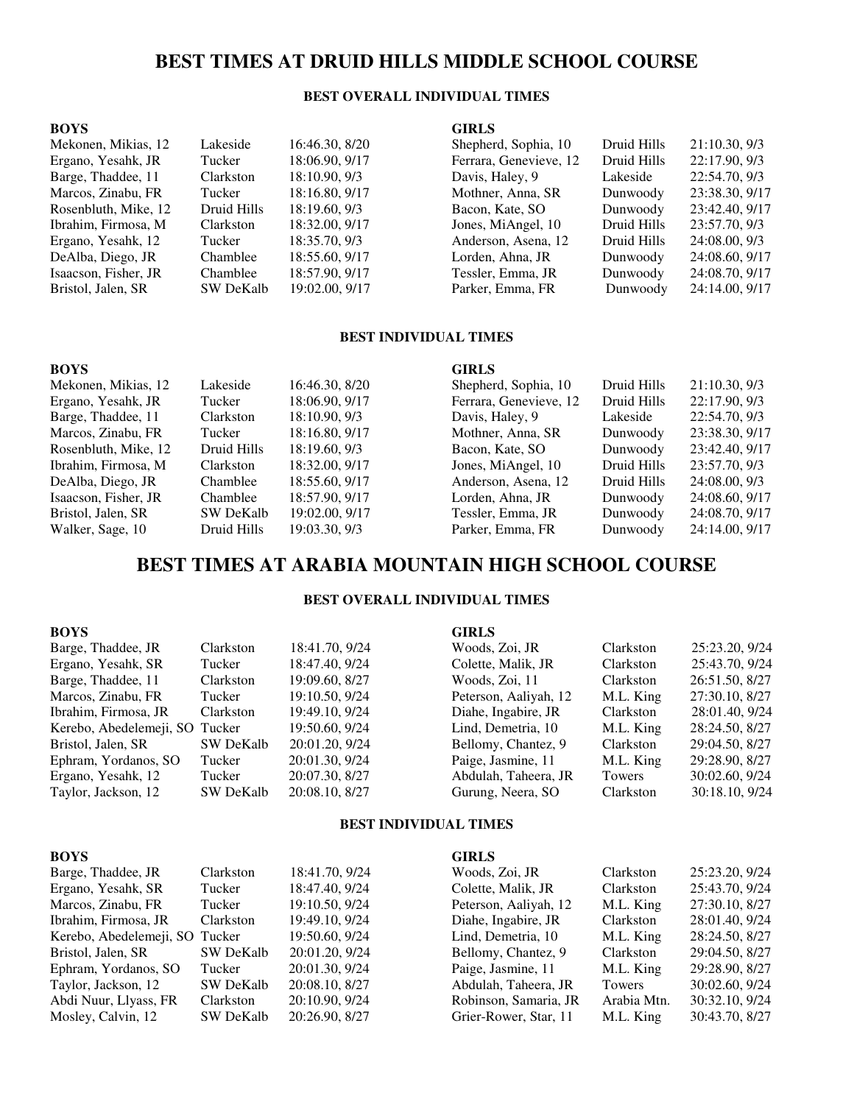# **BEST TIMES AT DRUID HILLS MIDDLE SCHOOL COURSE**

### **BEST OVERALL INDIVIDUAL TIMES**

### **BOYS**  Mekonen, Mikias, 12 Lak Ergano, Yesahk, JR Tucker 18:06.<br>Barge, Thaddee, 11 Clar Barge, Thaddee, 11

#### **GIRLS**

| Mekonen, Mikias, 12  | Lakeside         | 16:46.30, 8/20 | Shepherd, Sophia, 10   | Druid Hills | 21:10.30, 9/3  |
|----------------------|------------------|----------------|------------------------|-------------|----------------|
| Ergano, Yesahk, JR   | Tucker           | 18:06.90, 9/17 | Ferrara, Genevieve, 12 | Druid Hills | 22:17.90, 9/3  |
| Barge, Thaddee, 11   | Clarkston        | 18:10.90, 9/3  | Davis, Haley, 9        | Lakeside    | 22:54.70, 9/3  |
| Marcos, Zinabu, FR   | Tucker           | 18:16.80, 9/17 | Mothner, Anna, SR      | Dunwoody    | 23:38.30, 9/17 |
| Rosenbluth, Mike, 12 | Druid Hills      | 18:19.60, 9/3  | Bacon, Kate, SO        | Dunwoody    | 23:42.40, 9/17 |
| Ibrahim, Firmosa, M  | Clarkston        | 18:32.00, 9/17 | Jones, MiAngel, 10     | Druid Hills | 23:57.70, 9/3  |
| Ergano, Yesahk, 12   | Tucker           | 18:35.70, 9/3  | Anderson, Asena, 12    | Druid Hills | 24:08.00, 9/3  |
| DeAlba, Diego, JR    | Chamblee         | 18:55.60, 9/17 | Lorden, Ahna, JR       | Dunwoody    | 24:08.60, 9/17 |
| Isaacson, Fisher, JR | Chamblee         | 18:57.90, 9/17 | Tessler, Emma, JR      | Dunwoody    | 24:08.70, 9/17 |
| Bristol, Jalen, SR   | <b>SW DeKalb</b> | 19:02.00, 9/17 | Parker, Emma, FR       | Dunwoody    | 24:14.00, 9/17 |
|                      |                  |                |                        |             |                |

#### **BEST INDIVIDUAL TIMES**

#### **BOYS**  Mekonen, Mikias, 12 Lakeside 16:46.30, 8/20 Ergano, Yesahk, JR Tucker 18:06.90, 9/17 Barge, Thaddee, 11 Clarkston 18:10.90, 9/3 Marcos, Zinabu, FR Tucker 18:16.80, 9/17 Rosenbluth, Mike, 12 Druid Hills 18:19.60, 9/3 Ibrahim, Firmosa, M Clarkston 18:32.00, 9/17 DeAlba, Diego, JR Chamblee 18:55.60, 9/17 Isaacson, Fisher, JR<br>Bristol, Jalen, SR<br>SW DeKalb 19:02.00, 9/17 Bristol, Jalen, SR Walker, Sage, 10 Druid Hills 19:03.30, 9/3 **GIRLS**  Shepherd, Sophia, 10 Druid Hills 21:10.30, 9/3 Ferrara, Genevieve, 12 Druid Hills 22:17.90, 9/3 Davis, Haley, 9 Lakeside 22:54.70, 9/3 Mothner, Anna, SR Dunwoody 23:38.30, 9/17 Bacon, Kate, SO Dunwoody 23:42.40, 9/17 Jones, MiAngel, 10 Druid Hills 23:57.70, 9/3 Anderson, Asena, 12 Druid Hills 24:08.00, 9/3 Lorden, Ahna, JR Dunwoody 24:08.60, 9/17<br>
Tessler, Emma, JR Dunwoody 24:08.70, 9/17 Tessler, Emma, JR Parker, Emma, FR Dunwoody 24:14.00, 9/17

# **BEST TIMES AT ARABIA MOUNTAIN HIGH SCHOOL COURSE**

#### **BEST OVERALL INDIVIDUAL TIMES**

| <b>BOYS</b>                    |                  |                | <b>GIRLS</b>          |               |                |
|--------------------------------|------------------|----------------|-----------------------|---------------|----------------|
| Barge, Thaddee, JR             | Clarkston        | 18:41.70, 9/24 | Woods, Zoi, JR        | Clarkston     | 25:23.20, 9/24 |
| Ergano, Yesahk, SR             | Tucker           | 18:47.40, 9/24 | Colette, Malik, JR    | Clarkston     | 25:43.70, 9/24 |
| Barge, Thaddee, 11             | Clarkston        | 19:09.60, 8/27 | Woods, Zoi, 11        | Clarkston     | 26:51.50, 8/27 |
| Marcos, Zinabu, FR             | Tucker           | 19:10.50, 9/24 | Peterson, Aaliyah, 12 | M.L. King     | 27:30.10, 8/27 |
| Ibrahim, Firmosa, JR           | Clarkston        | 19:49.10, 9/24 | Diahe, Ingabire, JR   | Clarkston     | 28:01.40, 9/24 |
| Kerebo, Abedelemeji, SO Tucker |                  | 19:50.60, 9/24 | Lind, Demetria, 10    | M.L. King     | 28:24.50, 8/27 |
| Bristol, Jalen, SR             | <b>SW DeKalb</b> | 20:01.20, 9/24 | Bellomy, Chantez, 9   | Clarkston     | 29:04.50, 8/27 |
| Ephram, Yordanos, SO           | Tucker           | 20:01.30, 9/24 | Paige, Jasmine, 11    | M.L. King     | 29:28.90, 8/27 |
| Ergano, Yesahk, 12             | Tucker           | 20:07.30, 8/27 | Abdulah, Taheera, JR  | <b>Towers</b> | 30:02.60, 9/24 |
| Taylor, Jackson, 12            | <b>SW DeKalb</b> | 20:08.10, 8/27 | Gurung, Neera, SO     | Clarkston     | 30:18.10, 9/24 |

#### **BEST INDIVIDUAL TIMES**

| <b>BOYS</b>                    |                  |                | <b>GIRLS</b>          |             |                |
|--------------------------------|------------------|----------------|-----------------------|-------------|----------------|
| Barge, Thaddee, JR             | Clarkston        | 18:41.70, 9/24 | Woods, Zoi, JR        | Clarkston   | 25:23.20, 9/24 |
| Ergano, Yesahk, SR             | Tucker           | 18:47.40, 9/24 | Colette, Malik, JR    | Clarkston   | 25:43.70, 9/24 |
| Marcos, Zinabu, FR             | Tucker           | 19:10.50, 9/24 | Peterson, Aaliyah, 12 | M.L. King   | 27:30.10, 8/27 |
| Ibrahim, Firmosa, JR           | Clarkston        | 19:49.10, 9/24 | Diahe, Ingabire, JR   | Clarkston   | 28:01.40, 9/24 |
| Kerebo, Abedelemeji, SO Tucker |                  | 19:50.60, 9/24 | Lind, Demetria, 10    | M.L. King   | 28:24.50, 8/27 |
| Bristol, Jalen, SR             | <b>SW DeKalb</b> | 20:01.20, 9/24 | Bellomy, Chantez, 9   | Clarkston   | 29:04.50, 8/27 |
| Ephram, Yordanos, SO           | Tucker           | 20:01.30, 9/24 | Paige, Jasmine, 11    | M.L. King   | 29:28.90, 8/27 |
| Taylor, Jackson, 12            | SW DeKalb        | 20:08.10, 8/27 | Abdulah, Taheera, JR  | Towers      | 30:02.60, 9/24 |
| Abdi Nuur, Llyass, FR          | Clarkston        | 20:10.90, 9/24 | Robinson, Samaria, JR | Arabia Mtn. | 30:32.10, 9/24 |
| Mosley, Calvin, 12             | <b>SW DeKalb</b> | 20:26.90, 8/27 | Grier-Rower, Star, 11 | M.L. King   | 30:43.70, 8/27 |